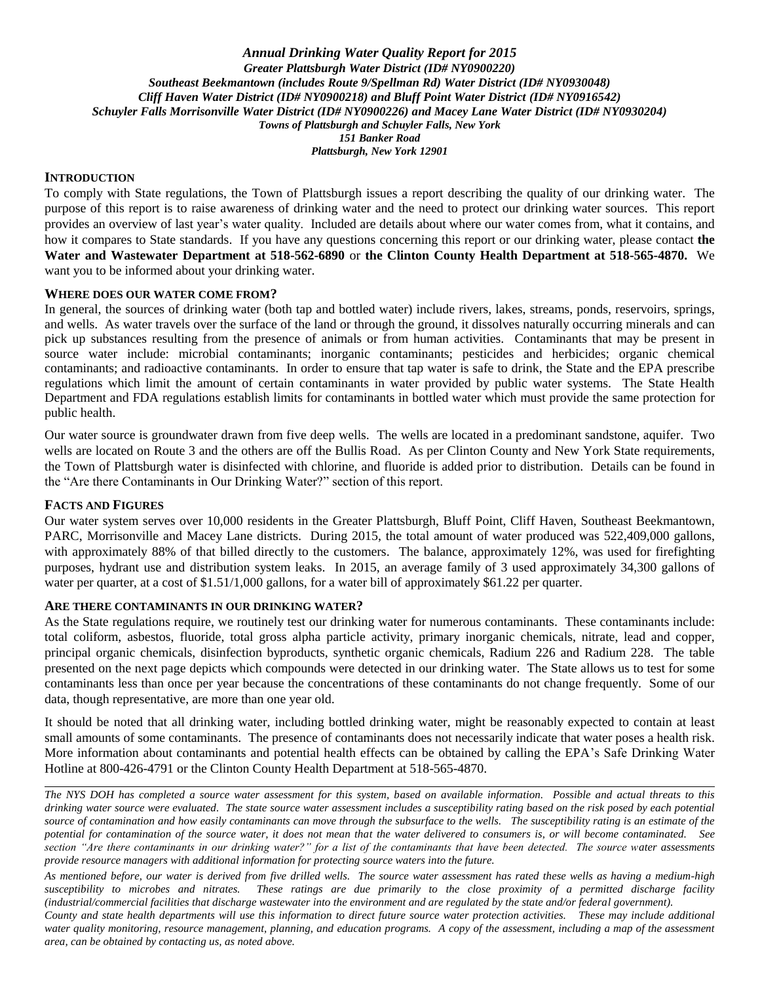*Annual Drinking Water Quality Report for 2015 Greater Plattsburgh Water District (ID# NY0900220) Southeast Beekmantown (includes Route 9/Spellman Rd) Water District (ID# NY0930048) Cliff Haven Water District (ID# NY0900218) and Bluff Point Water District (ID# NY0916542) Schuyler Falls Morrisonville Water District (ID# NY0900226) and Macey Lane Water District (ID# NY0930204) Towns of Plattsburgh and Schuyler Falls, New York 151 Banker Road Plattsburgh, New York 12901*

## **INTRODUCTION**

To comply with State regulations, the Town of Plattsburgh issues a report describing the quality of our drinking water. The purpose of this report is to raise awareness of drinking water and the need to protect our drinking water sources. This report provides an overview of last year's water quality. Included are details about where our water comes from, what it contains, and how it compares to State standards. If you have any questions concerning this report or our drinking water, please contact **the Water and Wastewater Department at 518-562-6890** or **the Clinton County Health Department at 518-565-4870.** We want you to be informed about your drinking water.

### **WHERE DOES OUR WATER COME FROM?**

In general, the sources of drinking water (both tap and bottled water) include rivers, lakes, streams, ponds, reservoirs, springs, and wells. As water travels over the surface of the land or through the ground, it dissolves naturally occurring minerals and can pick up substances resulting from the presence of animals or from human activities. Contaminants that may be present in source water include: microbial contaminants; inorganic contaminants; pesticides and herbicides; organic chemical contaminants; and radioactive contaminants. In order to ensure that tap water is safe to drink, the State and the EPA prescribe regulations which limit the amount of certain contaminants in water provided by public water systems. The State Health Department and FDA regulations establish limits for contaminants in bottled water which must provide the same protection for public health.

Our water source is groundwater drawn from five deep wells. The wells are located in a predominant sandstone, aquifer. Two wells are located on Route 3 and the others are off the Bullis Road. As per Clinton County and New York State requirements, the Town of Plattsburgh water is disinfected with chlorine, and fluoride is added prior to distribution. Details can be found in the "Are there Contaminants in Our Drinking Water?" section of this report.

## **FACTS AND FIGURES**

Our water system serves over 10,000 residents in the Greater Plattsburgh, Bluff Point, Cliff Haven, Southeast Beekmantown, PARC, Morrisonville and Macey Lane districts. During 2015, the total amount of water produced was 522,409,000 gallons, with approximately 88% of that billed directly to the customers. The balance, approximately 12%, was used for firefighting purposes, hydrant use and distribution system leaks. In 2015, an average family of 3 used approximately 34,300 gallons of water per quarter, at a cost of \$1.51/1,000 gallons, for a water bill of approximately \$61.22 per quarter.

### **ARE THERE CONTAMINANTS IN OUR DRINKING WATER?**

As the State regulations require, we routinely test our drinking water for numerous contaminants. These contaminants include: total coliform, asbestos, fluoride, total gross alpha particle activity, primary inorganic chemicals, nitrate, lead and copper, principal organic chemicals, disinfection byproducts, synthetic organic chemicals, Radium 226 and Radium 228. The table presented on the next page depicts which compounds were detected in our drinking water. The State allows us to test for some contaminants less than once per year because the concentrations of these contaminants do not change frequently. Some of our data, though representative, are more than one year old.

It should be noted that all drinking water, including bottled drinking water, might be reasonably expected to contain at least small amounts of some contaminants. The presence of contaminants does not necessarily indicate that water poses a health risk. More information about contaminants and potential health effects can be obtained by calling the EPA's Safe Drinking Water Hotline at 800-426-4791 or the Clinton County Health Department at 518-565-4870.

*The NYS DOH has completed a source water assessment for this system, based on available information. Possible and actual threats to this drinking water source were evaluated. The state source water assessment includes a susceptibility rating based on the risk posed by each potential source of contamination and how easily contaminants can move through the subsurface to the wells. The susceptibility rating is an estimate of the potential for contamination of the source water, it does not mean that the water delivered to consumers is, or will become contaminated. See section "Are there contaminants in our drinking water?" for a list of the contaminants that have been detected. The source water assessments provide resource managers with additional information for protecting source waters into the future.* 

*As mentioned before, our water is derived from five drilled wells. The source water assessment has rated these wells as having a medium-high susceptibility to microbes and nitrates. These ratings are due primarily to the close proximity of a permitted discharge facility (industrial/commercial facilities that discharge wastewater into the environment and are regulated by the state and/or federal government).* 

*County and state health departments will use this information to direct future source water protection activities. These may include additional water quality monitoring, resource management, planning, and education programs. A copy of the assessment, including a map of the assessment area, can be obtained by contacting us, as noted above.*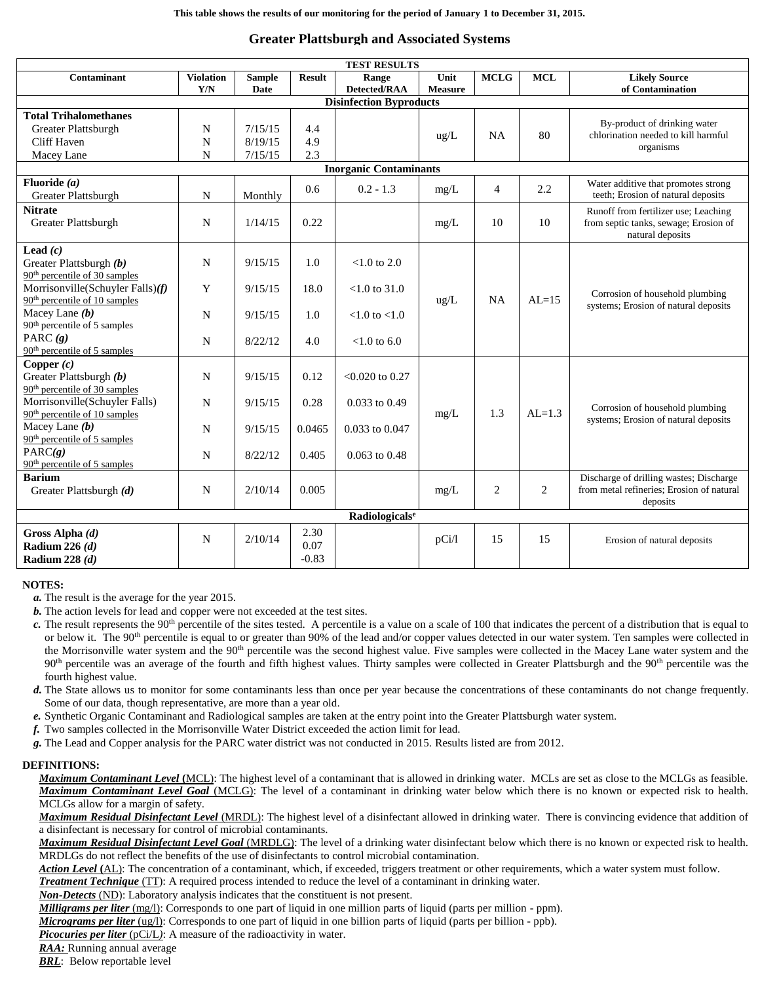## **Greater Plattsburgh and Associated Systems**

| <b>TEST RESULTS</b>                       |                  |               |               |                    |                |                |                |                                           |  |
|-------------------------------------------|------------------|---------------|---------------|--------------------|----------------|----------------|----------------|-------------------------------------------|--|
| Contaminant                               | <b>Violation</b> | <b>Sample</b> | <b>Result</b> | Range              | Unit           | <b>MCLG</b>    | <b>MCL</b>     | <b>Likely Source</b>                      |  |
|                                           | Y/N              | Date          |               | Detected/RAA       | <b>Measure</b> |                |                | of Contamination                          |  |
| <b>Disinfection Byproducts</b>            |                  |               |               |                    |                |                |                |                                           |  |
| <b>Total Trihalomethanes</b>              |                  |               |               |                    |                |                |                | By-product of drinking water              |  |
| Greater Plattsburgh                       | N                | 7/15/15       | 4.4           |                    | $\text{ug/L}$  | NA             | 80             | chlorination needed to kill harmful       |  |
| Cliff Haven                               | N                | 8/19/15       | 4.9           |                    |                |                |                | organisms                                 |  |
| Macey Lane                                | $\mathbf N$      | 7/15/15       | 2.3           |                    |                |                |                |                                           |  |
| <b>Inorganic Contaminants</b>             |                  |               |               |                    |                |                |                |                                           |  |
| Fluoride $(a)$                            |                  |               | 0.6           | $0.2 - 1.3$        |                | $\overline{4}$ | 2.2            | Water additive that promotes strong       |  |
| Greater Plattsburgh                       | $\mathbf N$      | Monthly       |               |                    | $mg/L$         |                |                | teeth; Erosion of natural deposits        |  |
| <b>Nitrate</b>                            |                  |               |               |                    |                |                |                | Runoff from fertilizer use; Leaching      |  |
| Greater Plattsburgh                       | N                | 1/14/15       | 0.22          |                    | mg/L           | 10             | 10             | from septic tanks, sewage; Erosion of     |  |
|                                           |                  |               |               |                    |                |                |                | natural deposits                          |  |
| Lead $(c)$                                |                  |               |               |                    |                |                |                |                                           |  |
| Greater Plattsburgh (b)                   | N                | 9/15/15       | 1.0           | $< 1.0$ to 2.0     |                |                |                |                                           |  |
| $90th$ percentile of 30 samples           |                  |               |               |                    |                |                |                |                                           |  |
| Morrisonville(Schuyler Falls)(f)          | Y                | 9/15/15       | 18.0          | $< 1.0$ to 31.0    |                |                |                | Corrosion of household plumbing           |  |
| $90th$ percentile of 10 samples           |                  |               |               |                    | $\text{ug/L}$  | <b>NA</b>      | $AI = 15$      | systems; Erosion of natural deposits      |  |
| Macey Lane $(b)$                          | N                | 9/15/15       | 1.0           | $< 1.0$ to $< 1.0$ |                |                |                |                                           |  |
| 90 <sup>th</sup> percentile of 5 samples  |                  |               |               |                    |                |                |                |                                           |  |
| PARC $(g)$                                | N                | 8/22/12       | 4.0           | $< 1.0$ to 6.0     |                |                |                |                                           |  |
| 90 <sup>th</sup> percentile of 5 samples  |                  |               |               |                    |                |                |                |                                           |  |
| Copper $(c)$                              |                  |               |               |                    |                |                |                |                                           |  |
| Greater Plattsburgh (b)                   | $\mathbf N$      | 9/15/15       | 0.12          | <0.020 to $0.27$   |                |                |                |                                           |  |
| 90 <sup>th</sup> percentile of 30 samples |                  |               |               |                    |                |                |                |                                           |  |
| Morrisonville(Schuyler Falls)             | N                | 9/15/15       | 0.28          | 0.033 to 0.49      |                |                |                | Corrosion of household plumbing           |  |
| $90th$ percentile of 10 samples           |                  |               |               |                    | mg/L           | 1.3            | $AI = 1.3$     | systems; Erosion of natural deposits      |  |
| Macey Lane $(b)$                          | N                | 9/15/15       | 0.0465        | 0.033 to 0.047     |                |                |                |                                           |  |
| $90th$ percentile of 5 samples            |                  |               |               |                    |                |                |                |                                           |  |
| PARC(g)                                   | N                | 8/22/12       | 0.405         | 0.063 to 0.48      |                |                |                |                                           |  |
| $90th$ percentile of 5 samples            |                  |               |               |                    |                |                |                |                                           |  |
| <b>Barium</b>                             |                  |               |               |                    |                |                |                | Discharge of drilling wastes; Discharge   |  |
| Greater Plattsburgh (d)                   | $\mathbf N$      | 2/10/14       | 0.005         |                    | mg/L           | $\overline{2}$ | $\overline{2}$ | from metal refineries; Erosion of natural |  |
|                                           |                  |               |               |                    |                |                |                | deposits                                  |  |
| Radiologicals <sup>e</sup>                |                  |               |               |                    |                |                |                |                                           |  |
| Gross Alpha (d)                           | N                | 2/10/14       | 2.30          |                    | pCi/l          | 15             | 15             |                                           |  |
| Radium 226 $(d)$                          |                  |               | 0.07          |                    |                |                |                | Erosion of natural deposits               |  |
| Radium 228 $(d)$                          |                  |               | $-0.83$       |                    |                |                |                |                                           |  |
|                                           |                  |               |               |                    |                |                |                |                                           |  |

#### **NOTES:**

*a.* The result is the average for the year 2015.

*b.* The action levels for lead and copper were not exceeded at the test sites.

 $c$ . The result represents the 90<sup>th</sup> percentile of the sites tested. A percentile is a value on a scale of 100 that indicates the percent of a distribution that is equal to or below it. The 90<sup>th</sup> percentile is equal to or greater than 90% of the lead and/or copper values detected in our water system. Ten samples were collected in the Morrisonville water system and the 90<sup>th</sup> percentile was the second highest value. Five samples were collected in the Macey Lane water system and the  $90<sup>th</sup>$  percentile was an average of the fourth and fifth highest values. Thirty samples were collected in Greater Plattsburgh and the  $90<sup>th</sup>$  percentile was the fourth highest value.

- *d.* The State allows us to monitor for some contaminants less than once per year because the concentrations of these contaminants do not change frequently. Some of our data, though representative, are more than a year old.
- *e.* Synthetic Organic Contaminant and Radiological samples are taken at the entry point into the Greater Plattsburgh water system.
- *f.* Two samples collected in the Morrisonville Water District exceeded the action limit for lead.
- *g.* The Lead and Copper analysis for the PARC water district was not conducted in 2015. Results listed are from 2012.

#### **DEFINITIONS:**

*Maximum Contaminant Level* **(**MCL): The highest level of a contaminant that is allowed in drinking water. MCLs are set as close to the MCLGs as feasible. *Maximum Contaminant Level Goal* (MCLG): The level of a contaminant in drinking water below which there is no known or expected risk to health. MCLGs allow for a margin of safety.

*Maximum Residual Disinfectant Level* (MRDL): The highest level of a disinfectant allowed in drinking water. There is convincing evidence that addition of a disinfectant is necessary for control of microbial contaminants.

*Maximum Residual Disinfectant Level Goal* (MRDLG): The level of a drinking water disinfectant below which there is no known or expected risk to health. MRDLGs do not reflect the benefits of the use of disinfectants to control microbial contamination.

*Action Level* **(**AL): The concentration of a contaminant, which, if exceeded, triggers treatment or other requirements, which a water system must follow.

*Treatment Technique* (TT): A required process intended to reduce the level of a contaminant in drinking water.

*Non-Detects* (ND): Laboratory analysis indicates that the constituent is not present.

*Milligrams per liter* (mg/l): Corresponds to one part of liquid in one million parts of liquid (parts per million - ppm).

*Micrograms per liter* (ug/l): Corresponds to one part of liquid in one billion parts of liquid (parts per billion - ppb).

*Picocuries per liter* (pCi/L): A measure of the radioactivity in water.

*RAA:* Running annual average

*BRL*: Below reportable level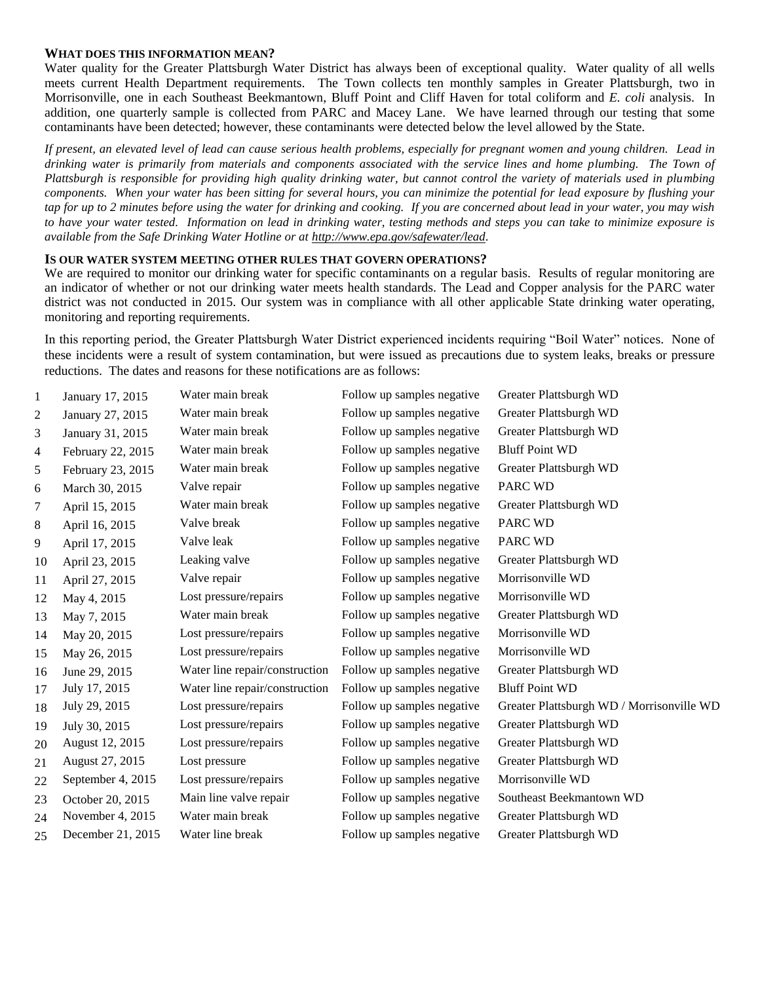### **WHAT DOES THIS INFORMATION MEAN?**

Water quality for the Greater Plattsburgh Water District has always been of exceptional quality. Water quality of all wells meets current Health Department requirements. The Town collects ten monthly samples in Greater Plattsburgh, two in Morrisonville, one in each Southeast Beekmantown, Bluff Point and Cliff Haven for total coliform and *E. coli* analysis. In addition, one quarterly sample is collected from PARC and Macey Lane. We have learned through our testing that some contaminants have been detected; however, these contaminants were detected below the level allowed by the State.

*If present, an elevated level of lead can cause serious health problems, especially for pregnant women and young children. Lead in drinking water is primarily from materials and components associated with the service lines and home plumbing. The Town of Plattsburgh is responsible for providing high quality drinking water, but cannot control the variety of materials used in plumbing components. When your water has been sitting for several hours, you can minimize the potential for lead exposure by flushing your tap for up to 2 minutes before using the water for drinking and cooking. If you are concerned about lead in your water, you may wish to have your water tested. Information on lead in drinking water, testing methods and steps you can take to minimize exposure is available from the Safe Drinking Water Hotline or at [http://www.epa.gov/safewater/lead.](http://www.epa.gov/safewater/lead)*

# **IS OUR WATER SYSTEM MEETING OTHER RULES THAT GOVERN OPERATIONS?**

We are required to monitor our drinking water for specific contaminants on a regular basis. Results of regular monitoring are an indicator of whether or not our drinking water meets health standards. The Lead and Copper analysis for the PARC water district was not conducted in 2015. Our system was in compliance with all other applicable State drinking water operating, monitoring and reporting requirements.

In this reporting period, the Greater Plattsburgh Water District experienced incidents requiring "Boil Water" notices. None of these incidents were a result of system contamination, but were issued as precautions due to system leaks, breaks or pressure reductions. The dates and reasons for these notifications are as follows:

| $\mathbf{1}$ | January 17, 2015  | Water main break               | Follow up samples negative | Greater Plattsburgh WD                    |
|--------------|-------------------|--------------------------------|----------------------------|-------------------------------------------|
| 2            | January 27, 2015  | Water main break               | Follow up samples negative | Greater Plattsburgh WD                    |
| 3            | January 31, 2015  | Water main break               | Follow up samples negative | Greater Plattsburgh WD                    |
| 4            | February 22, 2015 | Water main break               | Follow up samples negative | <b>Bluff Point WD</b>                     |
| 5            | February 23, 2015 | Water main break               | Follow up samples negative | Greater Plattsburgh WD                    |
| 6            | March 30, 2015    | Valve repair                   | Follow up samples negative | PARC WD                                   |
| 7            | April 15, 2015    | Water main break               | Follow up samples negative | Greater Plattsburgh WD                    |
| $8\,$        | April 16, 2015    | Valve break                    | Follow up samples negative | PARC WD                                   |
| 9            | April 17, 2015    | Valve leak                     | Follow up samples negative | PARC WD                                   |
| 10           | April 23, 2015    | Leaking valve                  | Follow up samples negative | Greater Plattsburgh WD                    |
| 11           | April 27, 2015    | Valve repair                   | Follow up samples negative | Morrisonville WD                          |
| 12           | May 4, 2015       | Lost pressure/repairs          | Follow up samples negative | Morrisonville WD                          |
| 13           | May 7, 2015       | Water main break               | Follow up samples negative | Greater Plattsburgh WD                    |
| 14           | May 20, 2015      | Lost pressure/repairs          | Follow up samples negative | Morrisonville WD                          |
| 15           | May 26, 2015      | Lost pressure/repairs          | Follow up samples negative | Morrisonville WD                          |
| 16           | June 29, 2015     | Water line repair/construction | Follow up samples negative | Greater Plattsburgh WD                    |
| 17           | July 17, 2015     | Water line repair/construction | Follow up samples negative | <b>Bluff Point WD</b>                     |
| 18           | July 29, 2015     | Lost pressure/repairs          | Follow up samples negative | Greater Plattsburgh WD / Morrisonville WD |
| 19           | July 30, 2015     | Lost pressure/repairs          | Follow up samples negative | Greater Plattsburgh WD                    |
| 20           | August 12, 2015   | Lost pressure/repairs          | Follow up samples negative | Greater Plattsburgh WD                    |
| 21           | August 27, 2015   | Lost pressure                  | Follow up samples negative | Greater Plattsburgh WD                    |
| 22           | September 4, 2015 | Lost pressure/repairs          | Follow up samples negative | Morrisonville WD                          |
| 23           | October 20, 2015  | Main line valve repair         | Follow up samples negative | Southeast Beekmantown WD                  |
| 24           | November 4, 2015  | Water main break               | Follow up samples negative | Greater Plattsburgh WD                    |
| 25           | December 21, 2015 | Water line break               | Follow up samples negative | Greater Plattsburgh WD                    |
|              |                   |                                |                            |                                           |